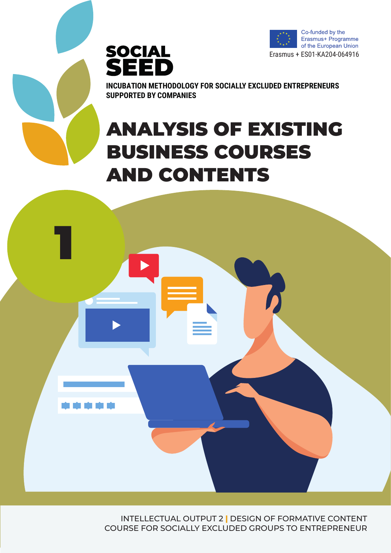



1

**INCUBATION METHODOLOGY FOR SOCIALLY EXCLUDED ENTREPRENEURS SUPPORTED BY COMPANIES**

# ANALYSIS OF EXISTING BUSINESS COURSES AND CONTENTS

INTELLECTUAL OUTPUT 2 **|** DESIGN OF FORMATIVE CONTENT COURSE FOR SOCIALLY EXCLUDED GROUPS TO ENTREPRENEUR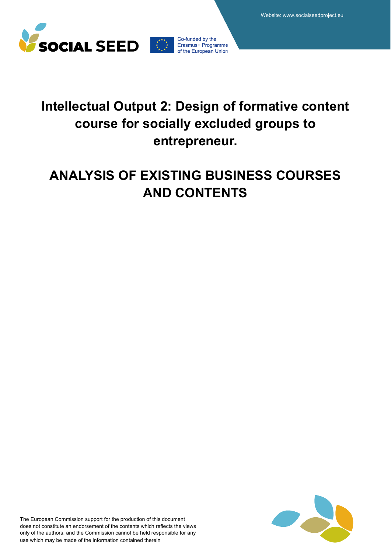



## **Intellectual Output 2: Design of formative content course for socially excluded groups to entrepreneur.**

## **ANALYSIS OF EXISTING BUSINESS COURSES AND CONTENTS**



The European Commission support for the production of this document does not constitute an endorsement of the contents which reflects the views only of the authors, and the Commission cannot be held responsible for any use which may be made of the information contained therein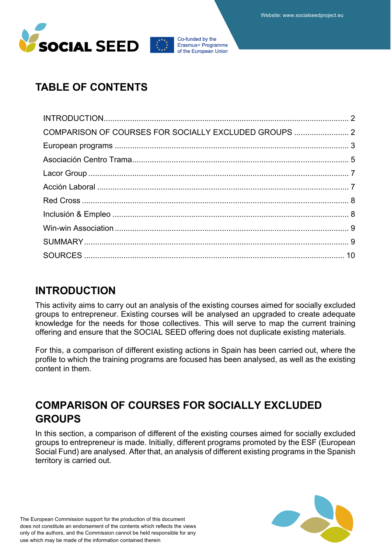



## **TABLE OF CONTENTS**

### **INTRODUCTION**

This activity aims to carry out an analysis of the existing courses aimed for socially excluded groups to entrepreneur. Existing courses will be analysed an upgraded to create adequate knowledge for the needs for those collectives. This will serve to map the current training offering and ensure that the SOCIAL SEED offering does not duplicate existing materials.

For this, a comparison of different existing actions in Spain has been carried out, where the profile to which the training programs are focused has been analysed, as well as the existing content in them.

## **COMPARISON OF COURSES FOR SOCIALLY EXCLUDED GROUPS**

In this section, a comparison of different of the existing courses aimed for socially excluded groups to entrepreneur is made. Initially, different programs promoted by the ESF (European Social Fund) are analysed. After that, an analysis of different existing programs in the Spanish territory is carried out.

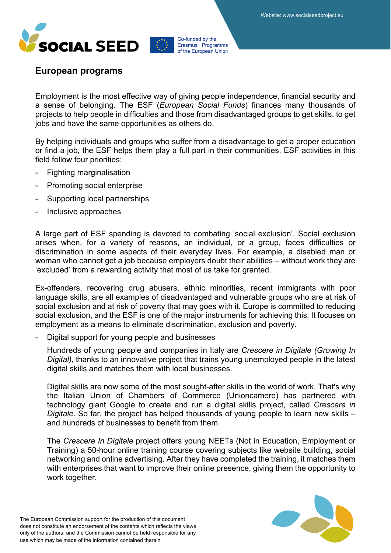

#### **European programs**

Employment is the most effective way of giving people independence, financial security and a sense of belonging. The ESF (*European Social Funds*) finances many thousands of projects to help people in difficulties and those from disadvantaged groups to get skills, to get jobs and have the same opportunities as others do.

By helping individuals and groups who suffer from a disadvantage to get a proper education or find a job, the ESF helps them play a full part in their communities. ESF activities in this field follow four priorities:

- Fighting marginalisation
- Promoting social enterprise
- Supporting local partnerships
- Inclusive approaches

A large part of ESF spending is devoted to combating 'social exclusion'. Social exclusion arises when, for a variety of reasons, an individual, or a group, faces difficulties or discrimination in some aspects of their everyday lives. For example, a disabled man or woman who cannot get a job because employers doubt their abilities – without work they are 'excluded' from a rewarding activity that most of us take for granted.

Ex-offenders, recovering drug abusers, ethnic minorities, recent immigrants with poor language skills, are all examples of disadvantaged and vulnerable groups who are at risk of social exclusion and at risk of poverty that may goes with it. Europe is committed to reducing social exclusion, and the ESF is one of the major instruments for achieving this. It focuses on employment as a means to eliminate discrimination, exclusion and poverty.

Digital support for young people and businesses

Hundreds of young people and companies in Italy are *Crescere in Digitale (Growing In Digital)*, thanks to an innovative project that trains young unemployed people in the latest digital skills and matches them with local businesses.

Digital skills are now some of the most sought-after skills in the world of work. That's why the Italian Union of Chambers of Commerce (Unioncamere) has partnered with technology giant Google to create and run a digital skills project, called *Crescere in Digitale*. So far, the project has helped thousands of young people to learn new skills – and hundreds of businesses to benefit from them.

The *Crescere In Digitale* project offers young NEETs (Not in Education, Employment or Training) a 50-hour online training course covering subjects like website building, social networking and online advertising. After they have completed the training, it matches them with enterprises that want to improve their online presence, giving them the opportunity to work together.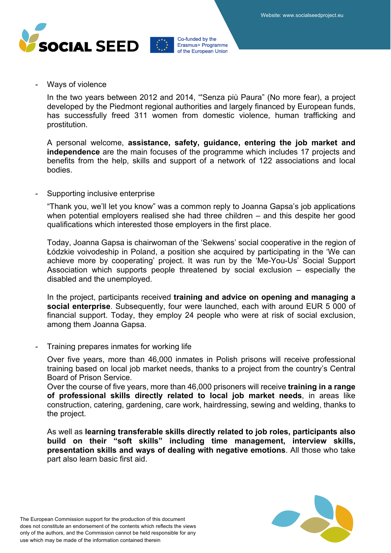

Ways of violence

In the two years between 2012 and 2014, "'Senza più Paura" (No more fear), a project developed by the Piedmont regional authorities and largely financed by European funds, has successfully freed 311 women from domestic violence, human trafficking and prostitution.

A personal welcome, **assistance, safety, guidance, entering the job market and independence** are the main focuses of the programme which includes 17 projects and benefits from the help, skills and support of a network of 122 associations and local bodies.

- Supporting inclusive enterprise

"Thank you, we'll let you know" was a common reply to Joanna Gapsa's job applications when potential employers realised she had three children – and this despite her good qualifications which interested those employers in the first place.

Today, Joanna Gapsa is chairwoman of the 'Sekwens' social cooperative in the region of Łódzkie voivodeship in Poland, a position she acquired by participating in the 'We can achieve more by cooperating' project. It was run by the 'Me-You-Us' Social Support Association which supports people threatened by social exclusion – especially the disabled and the unemployed.

In the project, participants received **training and advice on opening and managing a social enterprise**. Subsequently, four were launched, each with around EUR 5 000 of financial support. Today, they employ 24 people who were at risk of social exclusion, among them Joanna Gapsa.

- Training prepares inmates for working life

Over five years, more than 46,000 inmates in Polish prisons will receive professional training based on local job market needs, thanks to a project from the country's Central Board of Prison Service.

Over the course of five years, more than 46,000 prisoners will receive **training in a range of professional skills directly related to local job market needs**, in areas like construction, catering, gardening, care work, hairdressing, sewing and welding, thanks to the project.

As well as **learning transferable skills directly related to job roles, participants also build on their "soft skills" including time management, interview skills, presentation skills and ways of dealing with negative emotions**. All those who take part also learn basic first aid.

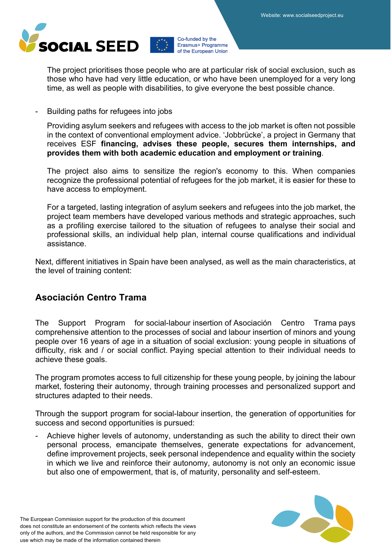

The project prioritises those people who are at particular risk of social exclusion, such as those who have had very little education, or who have been unemployed for a very long time, as well as people with disabilities, to give everyone the best possible chance.

- Building paths for refugees into jobs

Providing asylum seekers and refugees with access to the job market is often not possible in the context of conventional employment advice. 'Jobbrücke', a project in Germany that receives ESF **financing, advises these people, secures them internships, and provides them with both academic education and employment or training**.

The project also aims to sensitize the region's economy to this. When companies recognize the professional potential of refugees for the job market, it is easier for these to have access to employment.

For a targeted, lasting integration of asylum seekers and refugees into the job market, the project team members have developed various methods and strategic approaches, such as a profiling exercise tailored to the situation of refugees to analyse their social and professional skills, an individual help plan, internal course qualifications and individual assistance.

Next, different initiatives in Spain have been analysed, as well as the main characteristics, at the level of training content:

#### **Asociación Centro Trama**

The Support Program for social-labour insertion of Asociación Centro Trama pays comprehensive attention to the processes of social and labour insertion of minors and young people over 16 years of age in a situation of social exclusion: young people in situations of difficulty, risk and / or social conflict. Paying special attention to their individual needs to achieve these goals.

The program promotes access to full citizenship for these young people, by joining the labour market, fostering their autonomy, through training processes and personalized support and structures adapted to their needs.

Through the support program for social-labour insertion, the generation of opportunities for success and second opportunities is pursued:

Achieve higher levels of autonomy, understanding as such the ability to direct their own personal process, emancipate themselves, generate expectations for advancement, define improvement projects, seek personal independence and equality within the society in which we live and reinforce their autonomy, autonomy is not only an economic issue but also one of empowerment, that is, of maturity, personality and self-esteem.

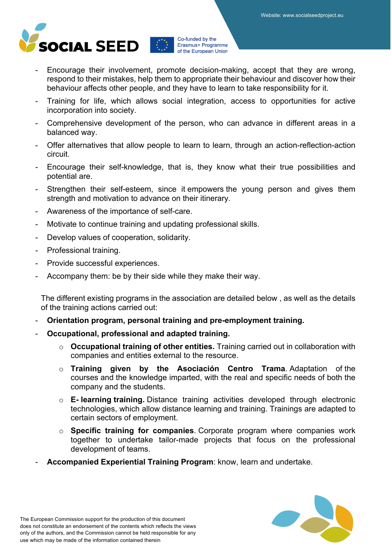

- Encourage their involvement, promote decision-making, accept that they are wrong, respond to their mistakes, help them to appropriate their behaviour and discover how their behaviour affects other people, and they have to learn to take responsibility for it.
- Training for life, which allows social integration, access to opportunities for active incorporation into society.
- Comprehensive development of the person, who can advance in different areas in a balanced way.
- Offer alternatives that allow people to learn to learn, through an action-reflection-action circuit.
- Encourage their self-knowledge, that is, they know what their true possibilities and potential are.
- Strengthen their self-esteem, since it empowers the young person and gives them strength and motivation to advance on their itinerary.
- Awareness of the importance of self-care.
- Motivate to continue training and updating professional skills.
- Develop values of cooperation, solidarity.
- Professional training.
- Provide successful experiences.
- Accompany them: be by their side while they make their way.

The different existing programs in the association are detailed below , as well as the details of the training actions carried out:

- **Orientation program, personal training and pre-employment training.**
- **Occupational, professional and adapted training.**
	- o **Occupational training of other entities.** Training carried out in collaboration with companies and entities external to the resource.
	- o **Training given by the Asociación Centro Trama**. Adaptation of the courses and the knowledge imparted, with the real and specific needs of both the company and the students.
	- o **E- learning training.** Distance training activities developed through electronic technologies, which allow distance learning and training. Trainings are adapted to certain sectors of employment.
	- o **Specific training for companies**. Corporate program where companies work together to undertake tailor-made projects that focus on the professional development of teams.
- **Accompanied Experiential Training Program**: know, learn and undertake.

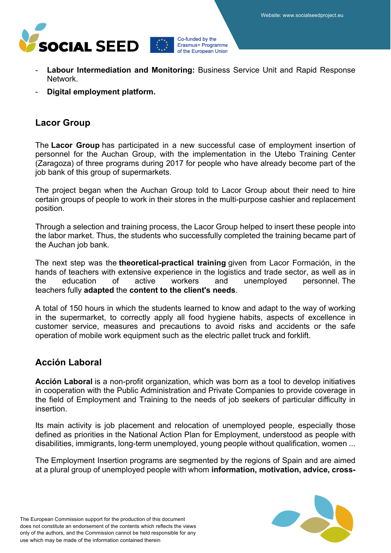

**Labour Intermediation and Monitoring: Business Service Unit and Rapid Response** Network.

Co-funded by the

Erasmus+ Programme of the European Union

- **Digital employment platform.**

#### **Lacor Group**

The **Lacor Group** has participated in a new successful case of employment insertion of personnel for the Auchan Group, with the implementation in the Utebo Training Center (Zaragoza) of three programs during 2017 for people who have already become part of the job bank of this group of supermarkets.

The project began when the Auchan Group told to Lacor Group about their need to hire certain groups of people to work in their stores in the multi-purpose cashier and replacement position.

Through a selection and training process, the Lacor Group helped to insert these people into the labor market. Thus, the students who successfully completed the training became part of the Auchan job bank.

The next step was the **theoretical-practical training** given from Lacor Formación, in the hands of teachers with extensive experience in the logistics and trade sector, as well as in the education of active workers and unemployed personnel. The teachers fully **adapted** the **content to the client's needs**.

A total of 150 hours in which the students learned to know and adapt to the way of working in the supermarket, to correctly apply all food hygiene habits, aspects of excellence in customer service, measures and precautions to avoid risks and accidents or the safe operation of mobile work equipment such as the electric pallet truck and forklift.

#### **Acción Laboral**

**Acción Laboral** is a non-profit organization, which was born as a tool to develop initiatives in cooperation with the Public Administration and Private Companies to provide coverage in the field of Employment and Training to the needs of job seekers of particular difficulty in insertion.

Its main activity is job placement and relocation of unemployed people, especially those defined as priorities in the National Action Plan for Employment, understood as people with disabilities, immigrants, long-term unemployed, young people without qualification, women ...

The Employment Insertion programs are segmented by the regions of Spain and are aimed at a plural group of unemployed people with whom **information, motivation, advice, cross-**

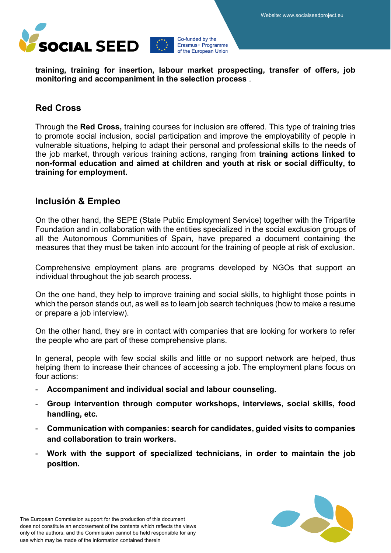

**training, training for insertion, labour market prospecting, transfer of offers, job monitoring and accompaniment in the selection process** .

#### **Red Cross**

Through the **Red Cross,** training courses for inclusion are offered. This type of training tries to promote social inclusion, social participation and improve the employability of people in vulnerable situations, helping to adapt their personal and professional skills to the needs of the job market, through various training actions, ranging from **training actions linked to non-formal education and aimed at children and youth at risk or social difficulty, to training for employment.**

#### **Inclusión & Empleo**

On the other hand, the SEPE (State Public Employment Service) together with the Tripartite Foundation and in collaboration with the entities specialized in the social exclusion groups of all the Autonomous Communities of Spain, have prepared a document containing the measures that they must be taken into account for the training of people at risk of exclusion.

Comprehensive employment plans are programs developed by NGOs that support an individual throughout the job search process.

On the one hand, they help to improve training and social skills, to highlight those points in which the person stands out, as well as to learn job search techniques (how to make a resume or prepare a job interview).

On the other hand, they are in contact with companies that are looking for workers to refer the people who are part of these comprehensive plans.

In general, people with few social skills and little or no support network are helped, thus helping them to increase their chances of accessing a job. The employment plans focus on four actions:

- **Accompaniment and individual social and labour counseling.**
- **Group intervention through computer workshops, interviews, social skills, food handling, etc.**
- **Communication with companies: search for candidates, guided visits to companies and collaboration to train workers.**
- **Work with the support of specialized technicians, in order to maintain the job position.**

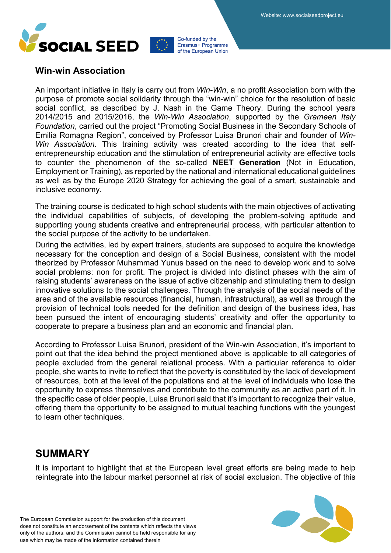

#### **Win-win Association**

An important initiative in Italy is carry out from *Win-Win*, a no profit Association born with the purpose of promote social solidarity through the "win-win" choice for the resolution of basic social conflict, as described by J. Nash in the Game Theory. During the school years 2014/2015 and 2015/2016, the *Win-Win Association*, supported by the *Grameen Italy Foundation*, carried out the project "Promoting Social Business in the Secondary Schools of Emilia Romagna Region", conceived by Professor Luisa Brunori chair and founder of *Win-Win Association*. This training activity was created according to the idea that selfentrepreneurship education and the stimulation of entrepreneurial activity are effective tools to counter the phenomenon of the so-called **NEET Generation** (Not in Education, Employment or Training), as reported by the national and international educational guidelines as well as by the Europe 2020 Strategy for achieving the goal of a smart, sustainable and inclusive economy.

The training course is dedicated to high school students with the main objectives of activating the individual capabilities of subjects, of developing the problem-solving aptitude and supporting young students creative and entrepreneurial process, with particular attention to the social purpose of the activity to be undertaken.

During the activities, led by expert trainers, students are supposed to acquire the knowledge necessary for the conception and design of a Social Business, consistent with the model theorized by Professor Muhammad Yunus based on the need to develop work and to solve social problems: non for profit. The project is divided into distinct phases with the aim of raising students' awareness on the issue of active citizenship and stimulating them to design innovative solutions to the social challenges. Through the analysis of the social needs of the area and of the available resources (financial, human, infrastructural), as well as through the provision of technical tools needed for the definition and design of the business idea, has been pursued the intent of encouraging students' creativity and offer the opportunity to cooperate to prepare a business plan and an economic and financial plan.

According to Professor Luisa Brunori, president of the Win-win Association, it's important to point out that the idea behind the project mentioned above is applicable to all categories of people excluded from the general relational process. With a particular reference to older people, she wants to invite to reflect that the poverty is constituted by the lack of development of resources, both at the level of the populations and at the level of individuals who lose the opportunity to express themselves and contribute to the community as an active part of it. In the specific case of older people, Luisa Brunori said that it's important to recognize their value, offering them the opportunity to be assigned to mutual teaching functions with the youngest to learn other techniques.

#### **SUMMARY**

It is important to highlight that at the European level great efforts are being made to help reintegrate into the labour market personnel at risk of social exclusion. The objective of this

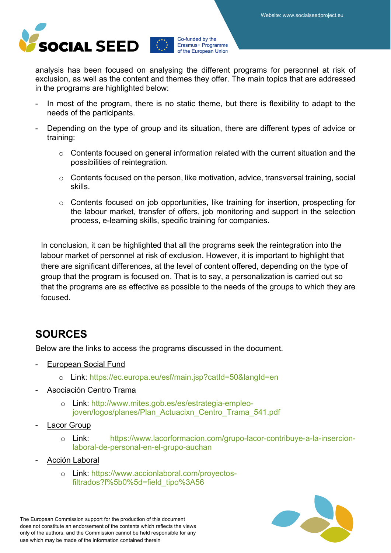

analysis has been focused on analysing the different programs for personnel at risk of exclusion, as well as the content and themes they offer. The main topics that are addressed in the programs are highlighted below:

- In most of the program, there is no static theme, but there is flexibility to adapt to the needs of the participants.
- Depending on the type of group and its situation, there are different types of advice or training:
	- o Contents focused on general information related with the current situation and the possibilities of reintegration.
	- o Contents focused on the person, like motivation, advice, transversal training, social skills.
	- o Contents focused on job opportunities, like training for insertion, prospecting for the labour market, transfer of offers, job monitoring and support in the selection process, e-learning skills, specific training for companies.

In conclusion, it can be highlighted that all the programs seek the reintegration into the labour market of personnel at risk of exclusion. However, it is important to highlight that there are significant differences, at the level of content offered, depending on the type of group that the program is focused on. That is to say, a personalization is carried out so that the programs are as effective as possible to the needs of the groups to which they are focused.

## **SOURCES**

Below are the links to access the programs discussed in the document.

- European Social Fund
	- o Link: https://ec.europa.eu/esf/main.jsp?catId=50&langId=en
- Asociación Centro Trama
	- o Link: http://www.mites.gob.es/es/estrategia-empleojoven/logos/planes/Plan\_Actuacixn\_Centro\_Trama\_541.pdf
- Lacor Group
	- o Link: https://www.lacorformacion.com/grupo-lacor-contribuye-a-la-insercionlaboral-de-personal-en-el-grupo-auchan
- Acción Laboral
	- o Link: https://www.accionlaboral.com/proyectosfiltrados?f%5b0%5d=field\_tipo%3A56